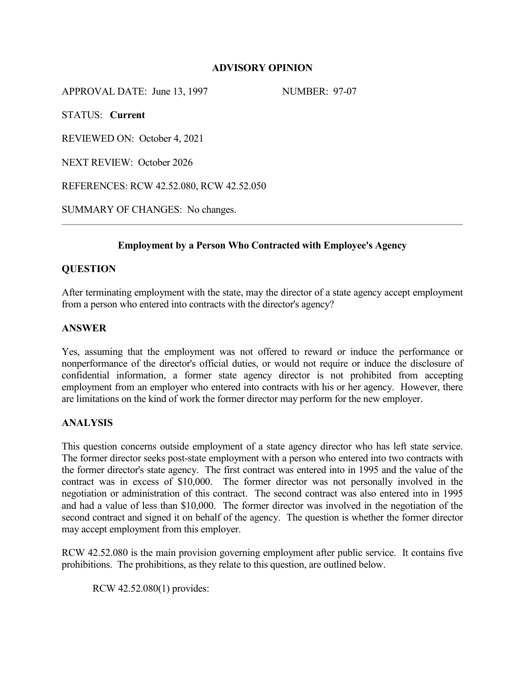# **ADVISORY OPINION**

APPROVAL DATE: June 13, 1997 NUMBER: 97-07

STATUS: **Current**

REVIEWED ON: October 4, 2021

NEXT REVIEW: October 2026

REFERENCES: RCW 42.52.080, RCW 42.52.050

SUMMARY OF CHANGES: No changes.

## **Employment by a Person Who Contracted with Employee's Agency**

# **QUESTION**

After terminating employment with the state, may the director of a state agency accept employment from a person who entered into contracts with the director's agency?

## **ANSWER**

Yes, assuming that the employment was not offered to reward or induce the performance or nonperformance of the director's official duties, or would not require or induce the disclosure of confidential information, a former state agency director is not prohibited from accepting employment from an employer who entered into contracts with his or her agency. However, there are limitations on the kind of work the former director may perform for the new employer.

## **ANALYSIS**

This question concerns outside employment of a state agency director who has left state service. The former director seeks post-state employment with a person who entered into two contracts with the former director's state agency. The first contract was entered into in 1995 and the value of the contract was in excess of \$10,000. The former director was not personally involved in the negotiation or administration of this contract. The second contract was also entered into in 1995 and had a value of less than \$10,000. The former director was involved in the negotiation of the second contract and signed it on behalf of the agency. The question is whether the former director may accept employment from this employer.

RCW 42.52.080 is the main provision governing employment after public service. It contains five prohibitions. The prohibitions, as they relate to this question, are outlined below.

RCW 42.52.080(1) provides: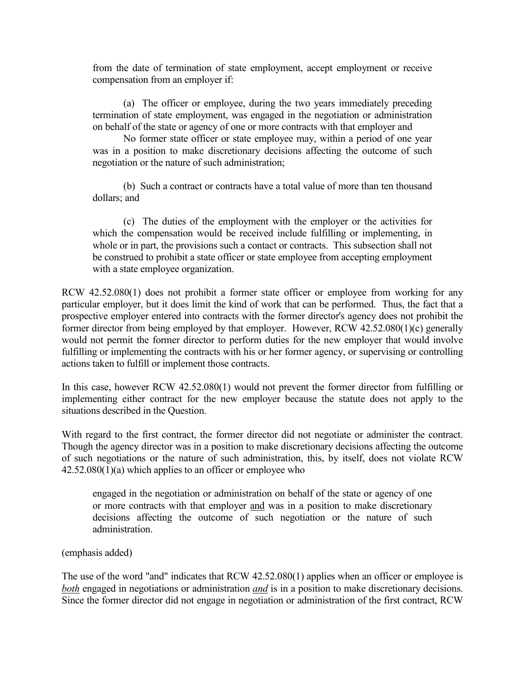from the date of termination of state employment, accept employment or receive compensation from an employer if:

 (a) The officer or employee, during the two years immediately preceding termination of state employment, was engaged in the negotiation or administration on behalf of the state or agency of one or more contracts with that employer and

No former state officer or state employee may, within a period of one year was in a position to make discretionary decisions affecting the outcome of such negotiation or the nature of such administration;

 (b) Such a contract or contracts have a total value of more than ten thousand dollars; and

 (c) The duties of the employment with the employer or the activities for which the compensation would be received include fulfilling or implementing, in whole or in part, the provisions such a contact or contracts. This subsection shall not be construed to prohibit a state officer or state employee from accepting employment with a state employee organization.

RCW 42.52.080(1) does not prohibit a former state officer or employee from working for any particular employer, but it does limit the kind of work that can be performed. Thus, the fact that a prospective employer entered into contracts with the former director's agency does not prohibit the former director from being employed by that employer. However, RCW 42.52.080(1)(c) generally would not permit the former director to perform duties for the new employer that would involve fulfilling or implementing the contracts with his or her former agency, or supervising or controlling actions taken to fulfill or implement those contracts.

In this case, however RCW 42.52.080(1) would not prevent the former director from fulfilling or implementing either contract for the new employer because the statute does not apply to the situations described in the Question.

With regard to the first contract, the former director did not negotiate or administer the contract. Though the agency director was in a position to make discretionary decisions affecting the outcome of such negotiations or the nature of such administration, this, by itself, does not violate RCW 42.52.080(1)(a) which applies to an officer or employee who

engaged in the negotiation or administration on behalf of the state or agency of one or more contracts with that employer and was in a position to make discretionary decisions affecting the outcome of such negotiation or the nature of such administration.

(emphasis added)

The use of the word "and" indicates that RCW 42.52.080(1) applies when an officer or employee is *both* engaged in negotiations or administration *and* is in a position to make discretionary decisions. Since the former director did not engage in negotiation or administration of the first contract, RCW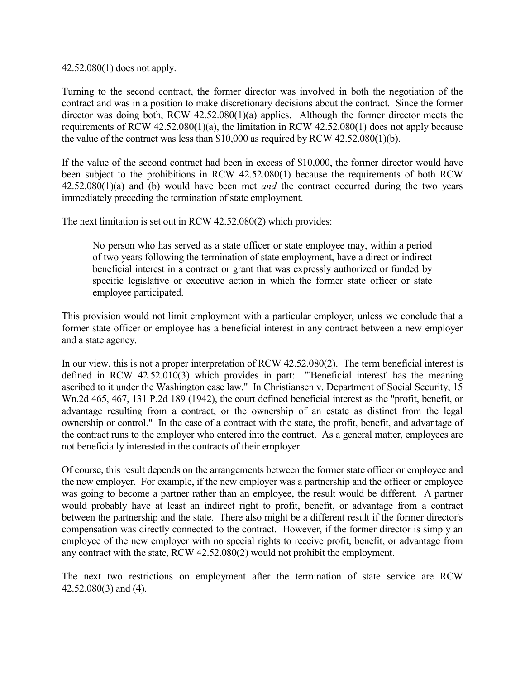42.52.080(1) does not apply.

Turning to the second contract, the former director was involved in both the negotiation of the contract and was in a position to make discretionary decisions about the contract. Since the former director was doing both, RCW 42.52.080(1)(a) applies. Although the former director meets the requirements of RCW 42.52.080(1)(a), the limitation in RCW 42.52.080(1) does not apply because the value of the contract was less than \$10,000 as required by RCW 42.52.080(1)(b).

If the value of the second contract had been in excess of \$10,000, the former director would have been subject to the prohibitions in RCW 42.52.080(1) because the requirements of both RCW 42.52.080(1)(a) and (b) would have been met *and* the contract occurred during the two years immediately preceding the termination of state employment.

The next limitation is set out in RCW 42.52.080(2) which provides:

No person who has served as a state officer or state employee may, within a period of two years following the termination of state employment, have a direct or indirect beneficial interest in a contract or grant that was expressly authorized or funded by specific legislative or executive action in which the former state officer or state employee participated.

This provision would not limit employment with a particular employer, unless we conclude that a former state officer or employee has a beneficial interest in any contract between a new employer and a state agency.

In our view, this is not a proper interpretation of RCW 42.52.080(2). The term beneficial interest is defined in RCW 42.52.010(3) which provides in part: "'Beneficial interest' has the meaning ascribed to it under the Washington case law." In Christiansen v. Department of Social Security, 15 Wn.2d 465, 467, 131 P.2d 189 (1942), the court defined beneficial interest as the "profit, benefit, or advantage resulting from a contract, or the ownership of an estate as distinct from the legal ownership or control." In the case of a contract with the state, the profit, benefit, and advantage of the contract runs to the employer who entered into the contract. As a general matter, employees are not beneficially interested in the contracts of their employer.

Of course, this result depends on the arrangements between the former state officer or employee and the new employer. For example, if the new employer was a partnership and the officer or employee was going to become a partner rather than an employee, the result would be different. A partner would probably have at least an indirect right to profit, benefit, or advantage from a contract between the partnership and the state. There also might be a different result if the former director's compensation was directly connected to the contract. However, if the former director is simply an employee of the new employer with no special rights to receive profit, benefit, or advantage from any contract with the state, RCW 42.52.080(2) would not prohibit the employment.

The next two restrictions on employment after the termination of state service are RCW 42.52.080(3) and (4).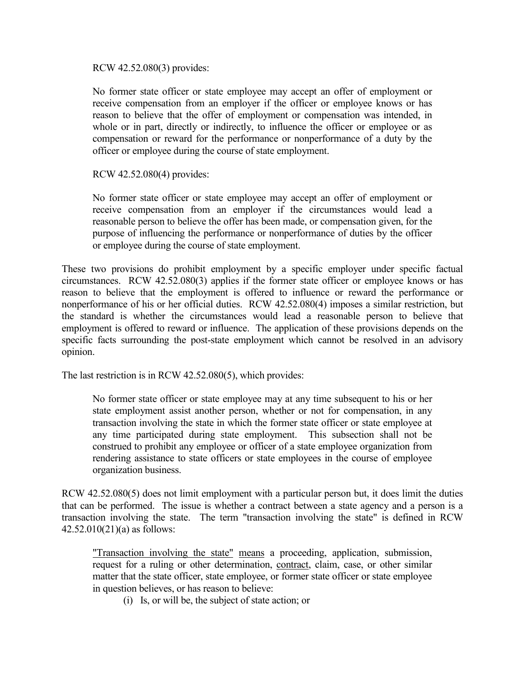RCW 42.52.080(3) provides:

No former state officer or state employee may accept an offer of employment or receive compensation from an employer if the officer or employee knows or has reason to believe that the offer of employment or compensation was intended, in whole or in part, directly or indirectly, to influence the officer or employee or as compensation or reward for the performance or nonperformance of a duty by the officer or employee during the course of state employment.

## RCW 42.52.080(4) provides:

No former state officer or state employee may accept an offer of employment or receive compensation from an employer if the circumstances would lead a reasonable person to believe the offer has been made, or compensation given, for the purpose of influencing the performance or nonperformance of duties by the officer or employee during the course of state employment.

These two provisions do prohibit employment by a specific employer under specific factual circumstances. RCW 42.52.080(3) applies if the former state officer or employee knows or has reason to believe that the employment is offered to influence or reward the performance or nonperformance of his or her official duties. RCW 42.52.080(4) imposes a similar restriction, but the standard is whether the circumstances would lead a reasonable person to believe that employment is offered to reward or influence. The application of these provisions depends on the specific facts surrounding the post-state employment which cannot be resolved in an advisory opinion.

The last restriction is in RCW 42.52.080(5), which provides:

No former state officer or state employee may at any time subsequent to his or her state employment assist another person, whether or not for compensation, in any transaction involving the state in which the former state officer or state employee at any time participated during state employment. This subsection shall not be construed to prohibit any employee or officer of a state employee organization from rendering assistance to state officers or state employees in the course of employee organization business.

RCW 42.52.080(5) does not limit employment with a particular person but, it does limit the duties that can be performed. The issue is whether a contract between a state agency and a person is a transaction involving the state. The term "transaction involving the state" is defined in RCW 42.52.010(21)(a) as follows:

"Transaction involving the state" means a proceeding, application, submission, request for a ruling or other determination, contract, claim, case, or other similar matter that the state officer, state employee, or former state officer or state employee in question believes, or has reason to believe:

(i) Is, or will be, the subject of state action; or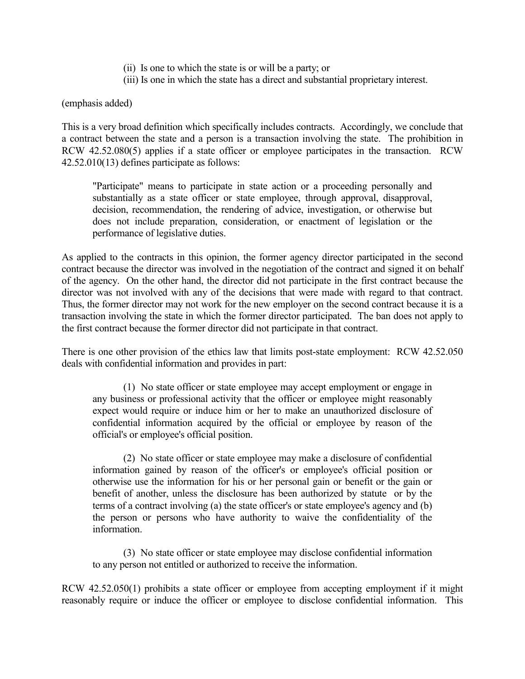- (ii) Is one to which the state is or will be a party; or
- (iii) Is one in which the state has a direct and substantial proprietary interest.

(emphasis added)

This is a very broad definition which specifically includes contracts. Accordingly, we conclude that a contract between the state and a person is a transaction involving the state. The prohibition in RCW 42.52.080(5) applies if a state officer or employee participates in the transaction. RCW 42.52.010(13) defines participate as follows:

"Participate" means to participate in state action or a proceeding personally and substantially as a state officer or state employee, through approval, disapproval, decision, recommendation, the rendering of advice, investigation, or otherwise but does not include preparation, consideration, or enactment of legislation or the performance of legislative duties.

As applied to the contracts in this opinion, the former agency director participated in the second contract because the director was involved in the negotiation of the contract and signed it on behalf of the agency. On the other hand, the director did not participate in the first contract because the director was not involved with any of the decisions that were made with regard to that contract. Thus, the former director may not work for the new employer on the second contract because it is a transaction involving the state in which the former director participated. The ban does not apply to the first contract because the former director did not participate in that contract.

There is one other provision of the ethics law that limits post-state employment: RCW 42.52.050 deals with confidential information and provides in part:

(1) No state officer or state employee may accept employment or engage in any business or professional activity that the officer or employee might reasonably expect would require or induce him or her to make an unauthorized disclosure of confidential information acquired by the official or employee by reason of the official's or employee's official position.

(2) No state officer or state employee may make a disclosure of confidential information gained by reason of the officer's or employee's official position or otherwise use the information for his or her personal gain or benefit or the gain or benefit of another, unless the disclosure has been authorized by statute or by the terms of a contract involving (a) the state officer's or state employee's agency and (b) the person or persons who have authority to waive the confidentiality of the information.

(3) No state officer or state employee may disclose confidential information to any person not entitled or authorized to receive the information.

RCW 42.52.050(1) prohibits a state officer or employee from accepting employment if it might reasonably require or induce the officer or employee to disclose confidential information. This